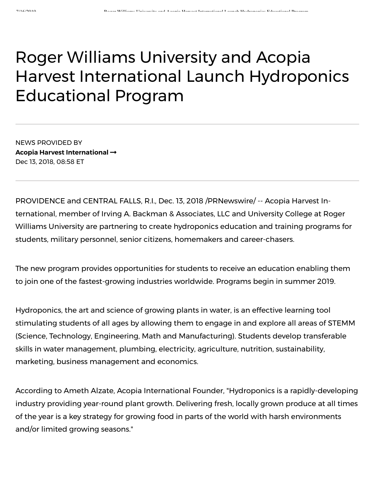## Roger Williams University and Acopia Harvest International Launch Hydroponics Educational Program

NEWS PROVIDED BY **Acopia Harvest International ¦** Dec 13, 2018, 08:58 ET

PROVIDENCE and CENTRAL FALLS, R.I., Dec. 13, 2018 /PRNewswire/ -- Acopia Harvest International, member of Irving A. Backman & Associates, LLC and University College at Roger Williams University are partnering to create hydroponics education and training programs for students, military personnel, senior citizens, homemakers and career-chasers.

The new program provides opportunities for students to receive an education enabling them to join one of the fastest-growing industries worldwide. Programs begin in summer 2019.

Hydroponics, the art and science of growing plants in water, is an effective learning tool stimulating students of all ages by allowing them to engage in and explore all areas of STEMM (Science, Technology, Engineering, Math and Manufacturing). Students develop transferable skills in water management, plumbing, electricity, agriculture, nutrition, sustainability, marketing, business management and economics.

According to Ameth Alzate, Acopia International Founder, "Hydroponics is a rapidly-developing industry providing year-round plant growth. Delivering fresh, locally grown produce at all times of the year is a key strategy for growing food in parts of the world with harsh environments and/or limited growing seasons."